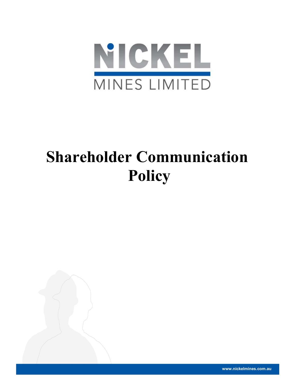

# Shareholder Communication Policy



www.nickelmines.com.au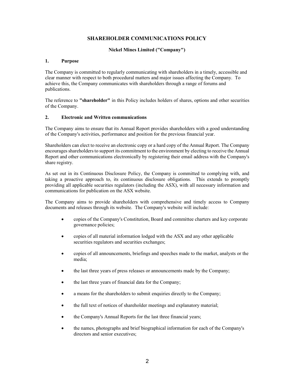## SHAREHOLDER COMMUNICATIONS POLICY

### Nickel Mines Limited ("Company")

#### 1. Purpose

The Company is committed to regularly communicating with shareholders in a timely, accessible and clear manner with respect to both procedural matters and major issues affecting the Company. To achieve this, the Company communicates with shareholders through a range of forums and publications.

The reference to "shareholder" in this Policy includes holders of shares, options and other securities of the Company.

#### 2. Electronic and Written communications

The Company aims to ensure that its Annual Report provides shareholders with a good understanding of the Company's activities, performance and position for the previous financial year.

Shareholders can elect to receive an electronic copy or a hard copy of the Annual Report. The Company encourages shareholders to support its commitment to the environment by electing to receive the Annual Report and other communications electronically by registering their email address with the Company's share registry.

As set out in its Continuous Disclosure Policy, the Company is committed to complying with, and taking a proactive approach to, its continuous disclosure obligations. This extends to promptly providing all applicable securities regulators (including the ASX), with all necessary information and communications for publication on the ASX website.

The Company aims to provide shareholders with comprehensive and timely access to Company documents and releases through its website. The Company's website will include:

- copies of the Company's Constitution, Board and committee charters and key corporate governance policies;
- copies of all material information lodged with the ASX and any other applicable securities regulators and securities exchanges;
- copies of all announcements, briefings and speeches made to the market, analysts or the media;
- the last three years of press releases or announcements made by the Company;
- the last three years of financial data for the Company;
- a means for the shareholders to submit enquiries directly to the Company;
- the full text of notices of shareholder meetings and explanatory material;
- the Company's Annual Reports for the last three financial years;
- the names, photographs and brief biographical information for each of the Company's directors and senior executives;